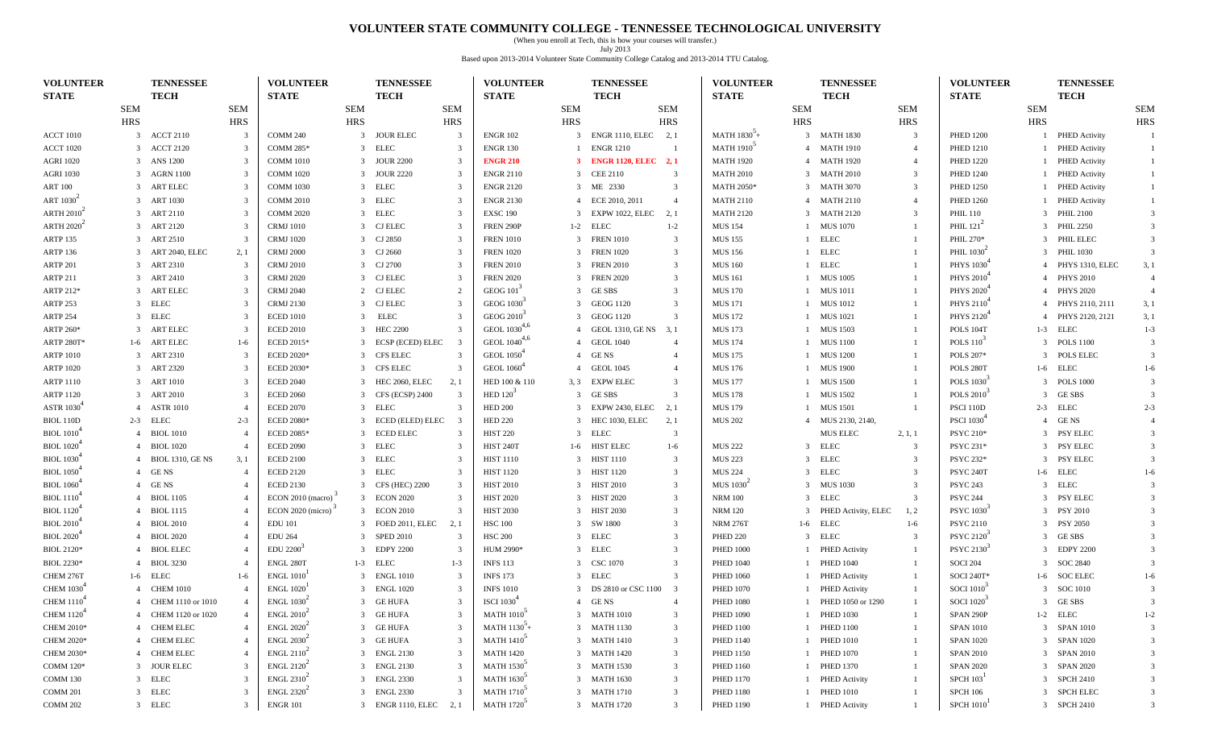#### **VOLUNTEER STATE COMMUNITY COLLEGE - TENNESSEE TECHNOLOGICAL UNIVERSITY**

(When you enroll at Tech, this is how your courses will transfer.) July 2013 Based upon 2013-2014 Volunteer State Community College Catalog and 2013-2014 TTU Catalog.

| <b>VOLUNTEER</b>                         | TENNESSEE                                 |                | <b>VOLUNTEER</b>       |                             | <b>TENNESSEE</b>       |                         | <b>VOLUNTEER</b>              |              | TENNESSEE              |                         | <b>VOLUNTEER</b>  |                | TENNESSEE           |                         | <b>VOLUNTEER</b>               |            | <b>TENNESSEE</b>     |                         |
|------------------------------------------|-------------------------------------------|----------------|------------------------|-----------------------------|------------------------|-------------------------|-------------------------------|--------------|------------------------|-------------------------|-------------------|----------------|---------------------|-------------------------|--------------------------------|------------|----------------------|-------------------------|
| <b>STATE</b>                             | <b>TECH</b>                               |                | <b>STATE</b>           |                             | <b>TECH</b>            |                         | <b>STATE</b>                  |              | <b>TECH</b>            |                         | <b>STATE</b>      |                | <b>TECH</b>         |                         | <b>STATE</b>                   |            | <b>TECH</b>          |                         |
|                                          | <b>SEM</b>                                | <b>SEM</b>     |                        | <b>SEM</b>                  |                        | <b>SEM</b>              |                               | <b>SEM</b>   |                        | <b>SEM</b>              |                   | <b>SEM</b>     |                     | <b>SEM</b>              |                                | <b>SEM</b> |                      | <b>SEM</b>              |
|                                          | <b>HRS</b>                                | <b>HRS</b>     |                        | <b>HRS</b>                  |                        | <b>HRS</b>              |                               | <b>HRS</b>   |                        | <b>HRS</b>              |                   | <b>HRS</b>     |                     | <b>HRS</b>              |                                | <b>HRS</b> |                      | <b>HRS</b>              |
| <b>ACCT 1010</b>                         | 3 ACCT 2110                               |                | <b>COMM 240</b>        |                             | 3 JOUR ELEC            | 3                       | <b>ENGR 102</b>               |              | 3 ENGR 1110, ELEC 2, 1 |                         | MATH $1830+$      |                | 3 MATH 1830         | 3                       | <b>PHED 1200</b>               |            | <b>PHED Activity</b> | -1                      |
| <b>ACCT 1020</b>                         | 3 ACCT 2120                               | -3             | <b>COMM 285*</b>       | 3 ELEC                      |                        | 3                       | <b>ENGR 130</b>               |              | <b>ENGR 1210</b>       | -1                      | <b>MATH 1910</b>  |                | 4 MATH 1910         | $\overline{4}$          | <b>PHED 1210</b>               |            | 1 PHED Activity      | -1                      |
| <b>AGRI 1020</b>                         | 3 ANS 1200                                |                | <b>COMM 1010</b>       |                             | 3 JOUR 2200            | 3                       | <b>ENGR 210</b>               |              | 3 ENGR 1120, ELEC 2, 1 |                         | <b>MATH 1920</b>  |                | 4 MATH 1920         | $\overline{4}$          | <b>PHED 1220</b>               |            | 1 PHED Activity      |                         |
| <b>AGRI 1030</b>                         | 3 AGRN 1100                               | $\mathcal{R}$  | <b>COMM 1020</b>       | 3                           | <b>JOUR 2220</b>       | 3                       | <b>ENGR 2110</b>              |              | 3 CEE 2110             | $\overline{\mathbf{3}}$ | <b>MATH 2010</b>  |                | 3 MATH 2010         | 3                       | <b>PHED 1240</b>               |            | 1 PHED Activity      |                         |
| <b>ART 100</b>                           | ART ELEC<br>3                             |                | <b>COMM 1030</b>       | ELEC<br>3                   |                        | 3                       | <b>ENGR 2120</b>              |              | 3 ME 2330              | $\overline{\mathbf{3}}$ | <b>MATH 2050*</b> |                | 3 MATH 3070         | 3                       | <b>PHED 1250</b>               |            | 1 PHED Activity      |                         |
| ART 1030 <sup><math>\degree</math></sup> | 3 ART 1030                                |                | <b>COMM 2010</b>       | <b>ELEC</b><br>3            |                        | 3                       | <b>ENGR 2130</b>              |              | 4 ECE 2010, 2011       | $\overline{4}$          | <b>MATH 2110</b>  |                | 4 MATH 2110         | $\overline{4}$          | <b>PHED 1260</b>               |            | 1 PHED Activity      |                         |
| ARTH $20102$                             | 3 ART 2110                                | -3             | <b>COMM 2020</b>       | 3 ELEC                      |                        | 3                       | <b>EXSC 190</b>               |              | 3 EXPW 1022, ELEC      | 2, 1                    | <b>MATH 2120</b>  |                | 3 MATH 2120         | 3                       | <b>PHIL 110</b>                |            | 3 PHIL 2100          | -3                      |
| ARTH $20202$                             | 3 ART 2120                                |                | <b>CRMJ</b> 1010       | 3 CJ ELEC                   |                        | 3                       | <b>FREN 290P</b>              |              | 1-2 ELEC               | $1 - 2$                 | <b>MUS 154</b>    |                | 1 MUS 1070          |                         | PHIL $121^2$                   |            | 3 PHIL 2250          |                         |
| ARTP 135                                 | 3 ART 2510                                | -3             | <b>CRMJ</b> 1020       | 3 CJ 2850                   |                        | 3                       | <b>FREN 1010</b>              |              | 3 FREN 1010            | $\overline{\mathbf{3}}$ | <b>MUS 155</b>    | $\mathbf{1}$   | ELEC                |                         | PHIL 270*                      |            | 3 PHIL ELEC          |                         |
| <b>ARTP 136</b>                          | ART 2040, ELEC<br>3                       | 2,1            | <b>CRMJ 2000</b>       | 3                           | CJ 2660                | 3                       | <b>FREN 1020</b>              | 3            | <b>FREN 1020</b>       | $\overline{\mathbf{3}}$ | <b>MUS 156</b>    | $\mathbf{1}$   | <b>ELEC</b>         |                         | PHIL 1030 <sup>-1</sup>        |            | 3 PHIL 1030          |                         |
| ARTP 201                                 | 3 ART 2310                                |                | <b>CRMJ 2010</b>       | 3 CJ 2700                   |                        | 3                       | <b>FREN 2010</b>              |              | 3 FREN 2010            | $\overline{\mathbf{3}}$ | <b>MUS 160</b>    | $\mathbf{1}$   | <b>ELEC</b>         |                         | PHYS 1030                      |            | 4 PHYS 1310, ELEC    | 3, 1                    |
| <b>ARTP 211</b>                          | 3 ART 2410                                | -3             | <b>CRMJ 2020</b>       | 3 CJ ELEC                   |                        | 3                       | <b>FREN 2020</b>              |              | 3 FREN 2020            | $\overline{\mathbf{3}}$ | <b>MUS 161</b>    |                | 1 MUS 1005          |                         | PHYS 2010 <sup>+</sup>         |            | 4 PHYS 2010          | $\overline{4}$          |
| ARTP 212*                                | 3 ART ELEC                                |                | <b>CRMJ 2040</b>       | 2 CJ ELEC                   |                        | $\overline{2}$          | GEOG $101$ <sup>-</sup>       |              | 3 GESBS                | $\overline{\mathbf{3}}$ | <b>MUS 170</b>    |                | 1 MUS 1011          |                         | PHYS 2020 <sup>4</sup>         |            | 4 PHYS 2020          | $\overline{4}$          |
| ARTP 253                                 | 3 ELEC                                    |                | <b>CRMJ 2130</b>       | 3                           | CJ ELEC                | 3                       | GEOG 1030                     |              | 3 GEOG 1120            | $\overline{\mathbf{3}}$ | <b>MUS 171</b>    |                | 1 MUS 1012          |                         | PHYS 2110                      |            | 4 PHYS 2110, 2111    | 3, 1                    |
| <b>ARTP 254</b>                          | 3 ELEC                                    |                | <b>ECED 1010</b>       | 3                           | <b>ELEC</b>            | 3                       | GEOG 2010 <sup>3</sup>        |              | 3 GEOG 1120            | $\overline{\mathbf{3}}$ | <b>MUS 172</b>    |                | 1 MUS 1021          |                         | PHYS 2120                      |            | 4 PHYS 2120, 2121    | 3,1                     |
| ARTP 260*                                | 3 ART ELEC                                |                | <b>ECED 2010</b>       | $\mathbf{3}$                | <b>HEC 2200</b>        | 3                       | GEOL 1030 <sup>4,6</sup>      |              | 4 GEOL 1310, GENS 3, 1 |                         | <b>MUS 173</b>    |                | <b>MUS 1503</b>     |                         | POLS 104T                      |            | 1-3 ELEC             | $1 - 3$                 |
| ARTP 280T*                               | 1-6 ART ELEC                              | $1-6$          | <b>ECED 2015*</b>      |                             | 3 ECSP (ECED) ELEC     | -3                      | GEOL $1040^{4,6}$             |              | 4 GEOL 1040            | $\overline{4}$          | <b>MUS 174</b>    |                | 1 MUS 1100          |                         | POLS $1102$                    |            | 3 POLS 1100          | 3                       |
| <b>ARTP 1010</b>                         | 3 ART 2310                                | 3              | <b>ECED 2020*</b>      |                             | 3 CFS ELEC             | 3                       | <b>GEOL</b> 1050 <sup>*</sup> |              | 4 GENS                 | $\overline{4}$          | <b>MUS 175</b>    |                | 1 MUS 1200          |                         | POLS 207*                      |            | 3 POLS ELEC          | $\mathcal{R}$           |
| <b>ARTP 1020</b>                         | 3 ART 2320                                | -3             | <b>ECED 2030*</b>      |                             | 3 CFS ELEC             | 3                       | GEOL 1060 <sup>+</sup>        | 4            | <b>GEOL 1045</b>       | $\overline{4}$          | <b>MUS 176</b>    |                | <b>MUS 1900</b>     |                         | POLS 280T                      |            | 1-6 ELEC             | $1-6$                   |
| <b>ARTP 1110</b>                         | ART 1010<br>3                             |                | <b>ECED 2040</b>       | 3                           | HEC 2060, ELEC         | 2, 1                    | HED 100 & 110                 | 3, 3         | <b>EXPW ELEC</b>       | $\overline{\mathbf{3}}$ | <b>MUS 177</b>    |                | <b>MUS 1500</b>     |                         | <b>POLS 1030</b>               |            | 3 POLS 1000          |                         |
| <b>ARTP 1120</b>                         | 3 ART 2010                                |                | <b>ECED 2060</b>       | $\mathbf{3}$                | CFS (ECSP) 2400        | $\overline{\mathbf{3}}$ | HED 120                       |              | 3 GESBS                | $\overline{3}$          | <b>MUS 178</b>    |                | 1 MUS 1502          |                         | <b>POLS 2010</b>               |            | 3 GESBS              | $\mathcal{R}$           |
| <b>ASTR 1030</b>                         | 4 ASTR 1010                               | -4             | <b>ECED 2070</b>       | 3 ELEC                      |                        | 3                       | <b>HED 200</b>                |              | 3 EXPW 2430, ELEC      | 2, 1                    | <b>MUS 179</b>    |                | 1 MUS 1501          |                         | PSCI 110D                      |            | 2-3 ELEC             | $2 - 3$                 |
| BIOL 110D                                | 2-3 ELEC                                  | $2 - 3$        | <b>ECED 2080*</b>      |                             | 3 ECED (ELED) ELEC     | - 3                     | <b>HED 220</b>                |              | 3 HEC 1030, ELEC       | 2, 1                    | <b>MUS 202</b>    |                | 4 MUS 2130, 2140,   |                         | <b>PSCI</b> 1030 <sup>4</sup>  |            | 4 GENS               |                         |
| <b>BIOL</b> 1010 <sup>+</sup>            | 4 BIOL 1010                               |                | <b>ECED 2085*</b>      | 3                           | <b>ECED ELEC</b>       | 3                       | <b>HIST 220</b>               |              | 3 ELEC                 | $\overline{\mathbf{3}}$ |                   |                | MUS ELEC            | 2, 1, 1                 | <b>PSYC 210*</b>               |            | 3 PSY ELEC           |                         |
| <b>BIOL</b> 1020                         | <b>BIOL 1020</b><br>$\overline{4}$        |                | <b>ECED 2090</b>       | ELEC<br>3                   |                        | 3                       | <b>HIST 240T</b>              | $1-6$        | <b>HIST ELEC</b>       | $1-6$                   | <b>MUS 222</b>    |                | 3 ELEC              | 3                       | PSYC 231*                      |            | 3 PSY ELEC           |                         |
| <b>BIOL</b> 1030 <sup>4</sup>            | <b>BIOL 1310, GE NS</b><br>$\overline{4}$ | 3,1            | <b>ECED 2100</b>       | <b>ELEC</b><br>$\mathbf{3}$ |                        | 3                       | <b>HIST 1110</b>              |              | 3 HIST 1110            | $\overline{\mathbf{3}}$ | <b>MUS 223</b>    | $\overline{3}$ | ELEC                | -3                      | PSYC 232*                      |            | 3 PSY ELEC           | $\mathcal{R}$           |
| <b>BIOL</b> 1050 <sup>+</sup>            | 4 GENS                                    | $\overline{4}$ | <b>ECED 2120</b>       | 3 ELEC                      |                        | 3                       | <b>HIST 1120</b>              |              | 3 HIST 1120            | $\overline{\mathbf{3}}$ | <b>MUS 224</b>    |                | 3 ELEC              | 3                       | PSYC 240T                      |            | 1-6 ELEC             | $1-6$                   |
| <b>BIOL</b> 1060 <sup>+</sup>            | 4 GENS                                    |                | <b>ECED 2130</b>       |                             | 3 CFS (HEC) 2200       | 3                       | <b>HIST 2010</b>              |              | 3 HIST 2010            | $\overline{\mathbf{3}}$ | MUS $10302$       |                | 3 MUS 1030          | 3                       | <b>PSYC 243</b>                |            | 3 ELEC               |                         |
| <b>BIOL 1110</b>                         | 4 BIOL 1105                               |                | ECON 2010 (macro)      |                             | 3 ECON 2020            | 3                       | <b>HIST 2020</b>              |              | 3 HIST 2020            | $\overline{\mathbf{3}}$ | <b>NRM 100</b>    |                | 3 ELEC              | $\overline{\mathbf{3}}$ | <b>PSYC 244</b>                |            | 3 PSY ELEC           |                         |
| BIOL $11206$                             | <b>BIOL 1115</b><br>$\overline{4}$        |                | ECON 2020 (micro)      | 3                           | <b>ECON 2010</b>       | 3                       | <b>HIST 2030</b>              | $\mathbf{3}$ | <b>HIST 2030</b>       | $\overline{\mathbf{3}}$ | <b>NRM 120</b>    | 3              | PHED Activity, ELEC | 1, 2                    | <b>PSYC</b> 1030               |            | 3 PSY 2010           |                         |
| <b>BIOL 2010</b>                         | 4 BIOL 2010                               | $\overline{A}$ | <b>EDU 101</b>         | 3                           | FOED 2011, ELEC        | 2, 1                    | <b>HSC 100</b>                |              | 3 SW 1800              | $\overline{\mathbf{3}}$ | <b>NRM 276T</b>   |                | $1-6$ ELEC          | $1-6$                   | <b>PSYC 2110</b>               |            | 3 PSY 2050           |                         |
| <b>BIOL 2020</b>                         | 4 BIOL 2020                               |                | <b>EDU 264</b>         |                             | 3 SPED 2010            | 3                       | <b>HSC 200</b>                |              | 3 ELEC                 | $\overline{\mathbf{3}}$ | <b>PHED 220</b>   |                | 3 ELEC              | 3                       | PSYC 2120 <sup>-1</sup>        |            | 3 GESBS              |                         |
| <b>BIOL 2120*</b>                        | <b>BIOL ELEC</b><br>$\overline{4}$        |                | EDU 2200               |                             | 3 EDPY 2200            | 3                       | HUM 2990*                     |              | 3 ELEC                 | $\overline{\mathbf{3}}$ | <b>PHED 1000</b>  |                | 1 PHED Activity     |                         | PSYC 2130 <sup>3</sup>         |            | 3 EDPY 2200          |                         |
| <b>BIOL 2230*</b>                        | <b>BIOL 3230</b><br>4                     |                | ENGL 280T              | 1-3 ELEC                    |                        | $1 - 3$                 | <b>INFS 113</b>               |              | 3 CSC 1070             | $\overline{\mathbf{3}}$ | <b>PHED 1040</b>  |                | <b>PHED 1040</b>    |                         | SOCI 204                       |            | 3 SOC 2840           |                         |
| CHEM 276T                                | 1-6 ELEC                                  | $1-6$          | <b>ENGL 1010</b>       | 3                           | <b>ENGL 1010</b>       | 3                       | <b>INFS 173</b>               |              | 3 ELEC                 | 3                       | <b>PHED 1060</b>  |                | 1 PHED Activity     |                         | <b>SOCI 240T*</b>              |            | 1-6 SOC ELEC         | $1-6$                   |
| <b>CHEM 1030</b> <sup>+</sup>            | 4 CHEM 1010                               |                | <b>ENGL 1020</b>       | 3                           | <b>ENGL 1020</b>       | 3                       | <b>INFS 1010</b>              |              | 3 DS 2810 or CSC 1100  | -3                      | <b>PHED 1070</b>  |                | 1 PHED Activity     |                         | <b>SOCI 1010</b>               |            | 3 SOC 1010           | -3                      |
| <b>CHEM 1110</b> <sup>+</sup>            | 4 CHEM 1110 or 1010                       |                | ENGL 1030 <sup>2</sup> | 3 GE HUFA                   |                        | 3                       | <b>ISCI</b> 1030              |              | 4 GENS                 | $\overline{4}$          | <b>PHED 1080</b>  |                | 1 PHED 1050 or 1290 |                         | <b>SOCI</b> 1020 <sup>-1</sup> |            | 3 GESBS              | $\overline{\mathbf{3}}$ |
| CHEM $11204$                             | 4 CHEM 1120 or 1020                       | $\Lambda$      | ENGL 2010 <sup>2</sup> | 3 GE HUFA                   |                        | $\overline{3}$          | <b>MATH 1010</b>              |              | 3 MATH 1010            | 3                       | <b>PHED 1090</b>  |                | 1 PHED 1030         |                         | SPAN 290P                      |            | $1-2$ $\quad$ ELEC   | $1 - 2$                 |
| <b>CHEM 2010*</b>                        | 4 CHEM ELEC                               |                | <b>ENGL 2020</b>       | 3 GE HUFA                   |                        | 3                       | MATH $1130+$                  |              | 3 MATH 1130            | $\overline{\mathbf{3}}$ | <b>PHED 1100</b>  |                | 1 PHED 1100         |                         | <b>SPAN 1010</b>               |            | 3 SPAN 1010          |                         |
| CHEM 2020*                               | 4 CHEM ELEC                               |                | <b>ENGL 2030</b>       | 3 GE HUFA                   |                        | 3                       | <b>MATH 1410</b>              |              | 3 MATH 1410            | $\overline{\mathbf{3}}$ | <b>PHED 1140</b>  |                | 1 PHED 1010         |                         | <b>SPAN 1020</b>               |            | 3 SPAN 1020          |                         |
| CHEM 2030*                               | 4 CHEM ELEC                               |                | <b>ENGL 2110</b>       |                             | 3 ENGL 2130            | 3                       | <b>MATH 1420</b>              |              | 3 MATH 1420            | $\overline{\mathbf{3}}$ | <b>PHED 1150</b>  |                | 1 PHED 1070         |                         | <b>SPAN 2010</b>               |            | 3 SPAN 2010          | 3                       |
| COMM 120*                                | 3 JOUR ELEC                               | 3              | ENGL 2120 <sup>2</sup> |                             | 3 ENGL 2130            | 3                       | <b>MATH 1530</b> <sup>3</sup> |              | 3 MATH 1530            | $\mathbf{3}$            | <b>PHED 1160</b>  |                | 1 PHED 1370         |                         | <b>SPAN 2020</b>               |            | 3 SPAN 2020          | 3                       |
| COMM 130                                 | 3 ELEC                                    |                | ENGL $2310^2$          |                             | 3 ENGL 2330            | 3                       | <b>MATH 1630</b>              |              | 3 MATH 1630            | $\mathbf{3}$            | <b>PHED 1170</b>  |                | 1 PHED Activity     |                         | SPCH 103 <sup>T</sup>          |            | 3 SPCH 2410          | 3                       |
| COMM 201                                 | 3 ELEC                                    | 3              | <b>ENGL 2320</b>       |                             | 3 ENGL 2330            | 3                       | <b>MATH 1710</b> <sup>3</sup> |              | 3 MATH 1710            | $\overline{\mathbf{3}}$ | <b>PHED 1180</b>  |                | 1 PHED 1010         |                         | <b>SPCH 106</b>                |            | 3 SPCH ELEC          | 3                       |
| COMM 202                                 | 3 ELEC                                    | 3              | <b>ENGR 101</b>        |                             | 3 ENGR 1110, ELEC 2, 1 |                         | <b>MATH 1720</b>              |              | 3 MATH 1720            | $\overline{\mathbf{3}}$ | <b>PHED 1190</b>  |                | 1 PHED Activity     |                         | <b>SPCH 1010</b>               |            | 3 SPCH 2410          | 3                       |
|                                          |                                           |                |                        |                             |                        |                         |                               |              |                        |                         |                   |                |                     |                         |                                |            |                      |                         |